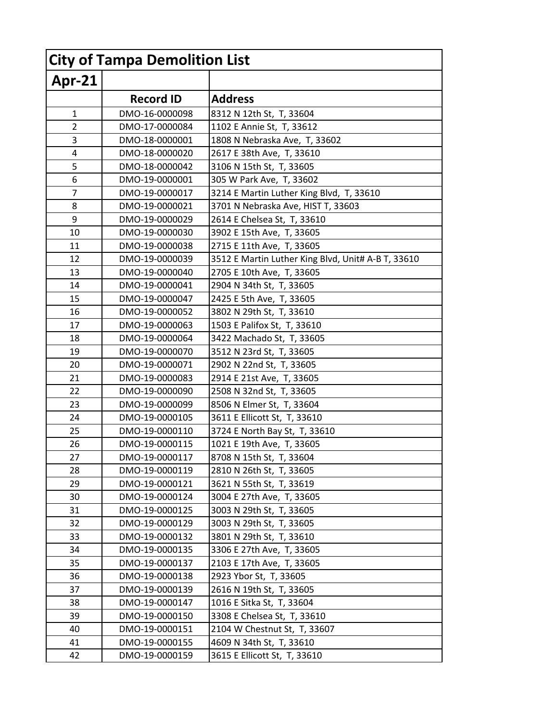| <b>City of Tampa Demolition List</b> |                  |                                                    |
|--------------------------------------|------------------|----------------------------------------------------|
| Apr-21                               |                  |                                                    |
|                                      | <b>Record ID</b> | <b>Address</b>                                     |
| $\mathbf{1}$                         | DMO-16-0000098   | 8312 N 12th St, T, 33604                           |
| $\overline{2}$                       | DMO-17-0000084   | 1102 E Annie St, T, 33612                          |
| 3                                    | DMO-18-0000001   | 1808 N Nebraska Ave, T, 33602                      |
| 4                                    | DMO-18-0000020   | 2617 E 38th Ave, T, 33610                          |
| 5                                    | DMO-18-0000042   | 3106 N 15th St, T, 33605                           |
| 6                                    | DMO-19-0000001   | 305 W Park Ave, T, 33602                           |
| 7                                    | DMO-19-0000017   | 3214 E Martin Luther King Blvd, T, 33610           |
| 8                                    | DMO-19-0000021   | 3701 N Nebraska Ave, HIST T, 33603                 |
| 9                                    | DMO-19-0000029   | 2614 E Chelsea St, T, 33610                        |
| 10                                   | DMO-19-0000030   | 3902 E 15th Ave, T, 33605                          |
| 11                                   | DMO-19-0000038   | 2715 E 11th Ave, T, 33605                          |
| 12                                   | DMO-19-0000039   | 3512 E Martin Luther King Blvd, Unit# A-B T, 33610 |
| 13                                   | DMO-19-0000040   | 2705 E 10th Ave, T, 33605                          |
| 14                                   | DMO-19-0000041   | 2904 N 34th St, T, 33605                           |
| 15                                   | DMO-19-0000047   | 2425 E 5th Ave, T, 33605                           |
| 16                                   | DMO-19-0000052   | 3802 N 29th St, T, 33610                           |
| 17                                   | DMO-19-0000063   | 1503 E Palifox St, T, 33610                        |
| 18                                   | DMO-19-0000064   | 3422 Machado St, T, 33605                          |
| 19                                   | DMO-19-0000070   | 3512 N 23rd St, T, 33605                           |
| 20                                   | DMO-19-0000071   | 2902 N 22nd St, T, 33605                           |
| 21                                   | DMO-19-0000083   | 2914 E 21st Ave, T, 33605                          |
| 22                                   | DMO-19-0000090   | 2508 N 32nd St, T, 33605                           |
| 23                                   | DMO-19-0000099   | 8506 N Elmer St, T, 33604                          |
| 24                                   | DMO-19-0000105   | 3611 E Ellicott St, T, 33610                       |
| 25                                   | DMO-19-0000110   | 3724 E North Bay St, T, 33610                      |
| 26                                   | DMO-19-0000115   | 1021 E 19th Ave, T, 33605                          |
| 27                                   | DMO-19-0000117   | 8708 N 15th St, T, 33604                           |
| 28                                   | DMO-19-0000119   | 2810 N 26th St, T, 33605                           |
| 29                                   | DMO-19-0000121   | 3621 N 55th St, T, 33619                           |
| 30                                   | DMO-19-0000124   | 3004 E 27th Ave, T, 33605                          |
| 31                                   | DMO-19-0000125   | 3003 N 29th St, T, 33605                           |
| 32                                   | DMO-19-0000129   | 3003 N 29th St, T, 33605                           |
| 33                                   | DMO-19-0000132   | 3801 N 29th St, T, 33610                           |
| 34                                   | DMO-19-0000135   | 3306 E 27th Ave, T, 33605                          |
| 35                                   | DMO-19-0000137   | 2103 E 17th Ave, T, 33605                          |
| 36                                   | DMO-19-0000138   | 2923 Ybor St, T, 33605                             |
| 37                                   | DMO-19-0000139   | 2616 N 19th St, T, 33605                           |
| 38                                   | DMO-19-0000147   | 1016 E Sitka St, T, 33604                          |
| 39                                   | DMO-19-0000150   | 3308 E Chelsea St, T, 33610                        |
| 40                                   | DMO-19-0000151   | 2104 W Chestnut St, T, 33607                       |
| 41                                   | DMO-19-0000155   | 4609 N 34th St, T, 33610                           |
| 42                                   | DMO-19-0000159   | 3615 E Ellicott St, T, 33610                       |